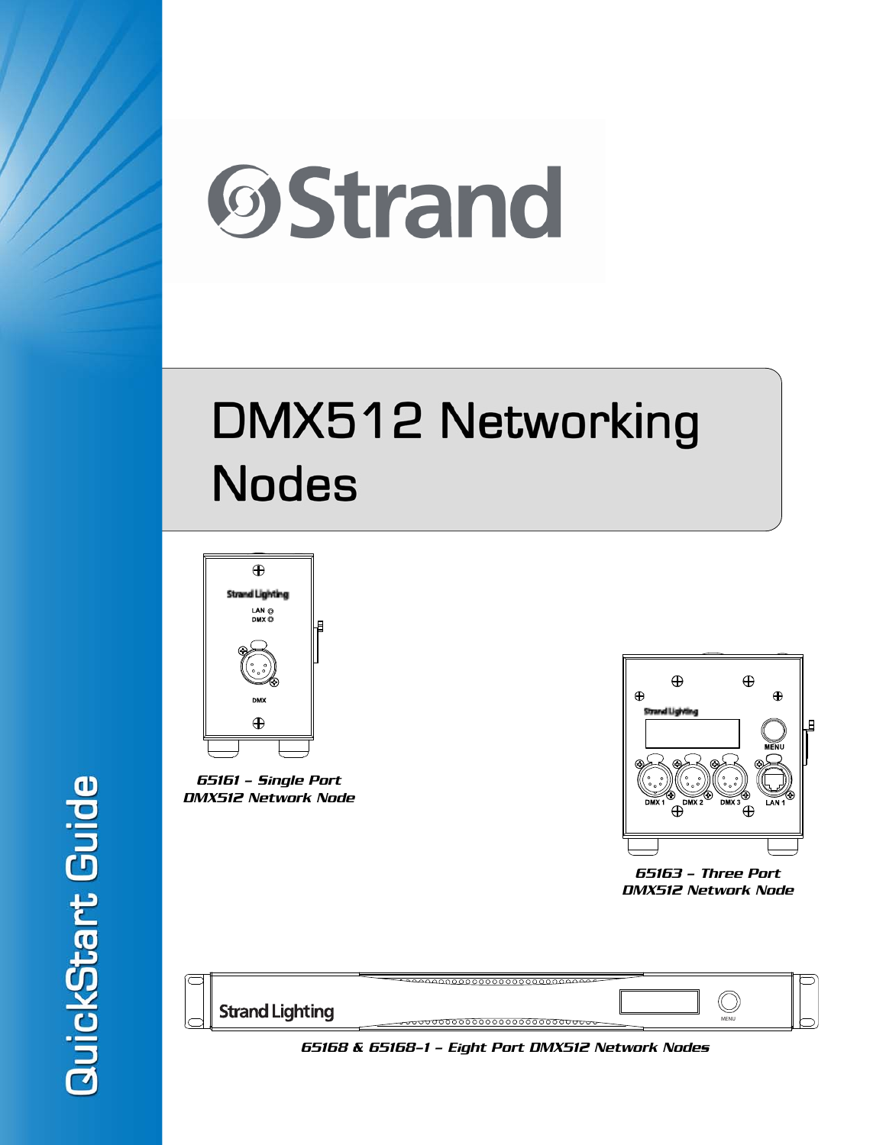

# DMX512 Networking **Nodes**



65161 - Single Port DMX512 Network Node



65163 - Three Port DMX512 Network Node

| <b>Strand Lighting</b> | MENU |  |
|------------------------|------|--|

65168 & 65168-1 - Eight Port DMX512 Network Nodes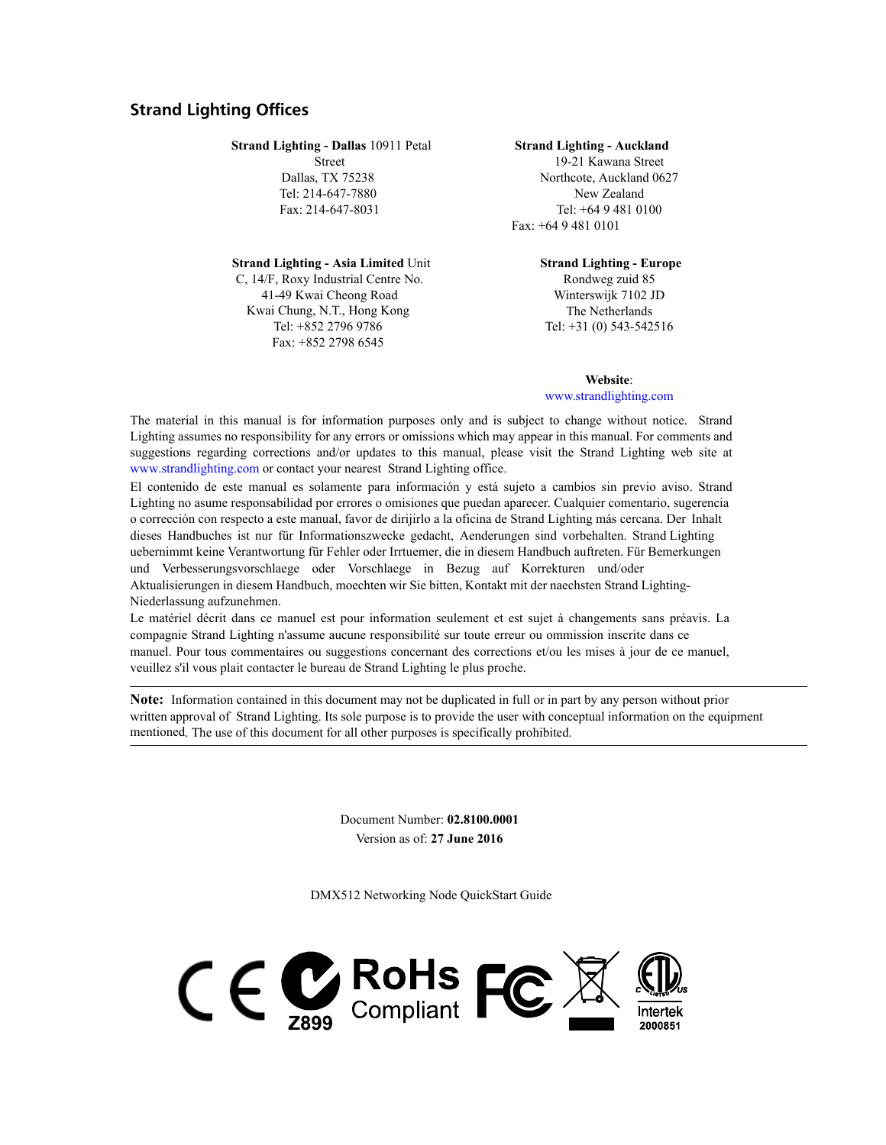## <span id="page-1-0"></span>**Strand Lighting Offices**

**Strand Lighting - Dallas** 10911 Petal

Street Dallas, TX 75238 Tel: 214-647-7880 Fax: 214-647-8031

**Strand Lighting - Asia Limited** Unit C, 14/F, Roxy Industrial Centre No. 41-49 Kwai Cheong Road Kwai Chung, N.T., Hong Kong Tel: +852 2796 9786 Fax: +852 2798 6545

#### **Strand Lighting - Auckland** 19-21 Kawana Street Northcote, Auckland 0627 New Zealand Tel: +64 9 481 0100 Fax: +64 9 481 0101

**Strand Lighting - Europe** Rondweg zuid 85 Winterswijk 7102 JD The Netherlands Tel: +31 (0) 543-542516

**Website**: [www.strandlighting.com](http://www.strandlighting.com)

The material in this manual is for information purposes only and is subject to change without notice. Strand Lighting assumes no responsibility for any errors or omissions which may appear in this manual. For comments and suggestions regarding corrections and/or updates to this manual, please visit the Strand Lighting web site at [www.strandlighting.com](http://www.strandlighting.com) or contact your nearest Strand Lighting office.

El contenido de este manual es solamente para información y está sujeto a cambios sin previo aviso. Strand Lighting no asume responsabilidad por errores o omisiones que puedan aparecer. Cualquier comentario, sugerencia o corrección con respecto a este manual, favor de dirijirlo a la oficina de Strand Lighting más cercana. Der Inhalt dieses Handbuches ist nur für Informationszwecke gedacht, Aenderungen sind vorbehalten. Strand Lighting uebernimmt keine Verantwortung für Fehler oder Irrtuemer, die in diesem Handbuch auftreten. Für Bemerkungen und Verbesserungsvorschlaege oder Vorschlaege in Bezug auf Korrekturen und/oder

Aktualisierungen in diesem Handbuch, moechten wir Sie bitten, Kontakt mit der naechsten Strand Lighting-Niederlassung aufzunehmen.

Le matériel décrit dans ce manuel est pour information seulement et est sujet à changements sans préavis. La compagnie Strand Lighting n'assume aucune responsibilité sur toute erreur ou ommission inscrite dans ce manuel. Pour tous commentaires ou suggestions concernant des corrections et/ou les mises à jour de ce manuel, veuillez s'il vous plait contacter le bureau de Strand Lighting le plus proche.

**Note:** Information contained in this document may not be duplicated in full or in part by any person without prior written approval of Strand Lighting. Its sole purpose is to provide the user with conceptual information on the equipment mentioned. The use of this document for all other purposes is specifically prohibited.

> Document Number: **02.8100.0001** Version as of: **27 June 2016**

DMX512 Networking Node QuickStart Guide

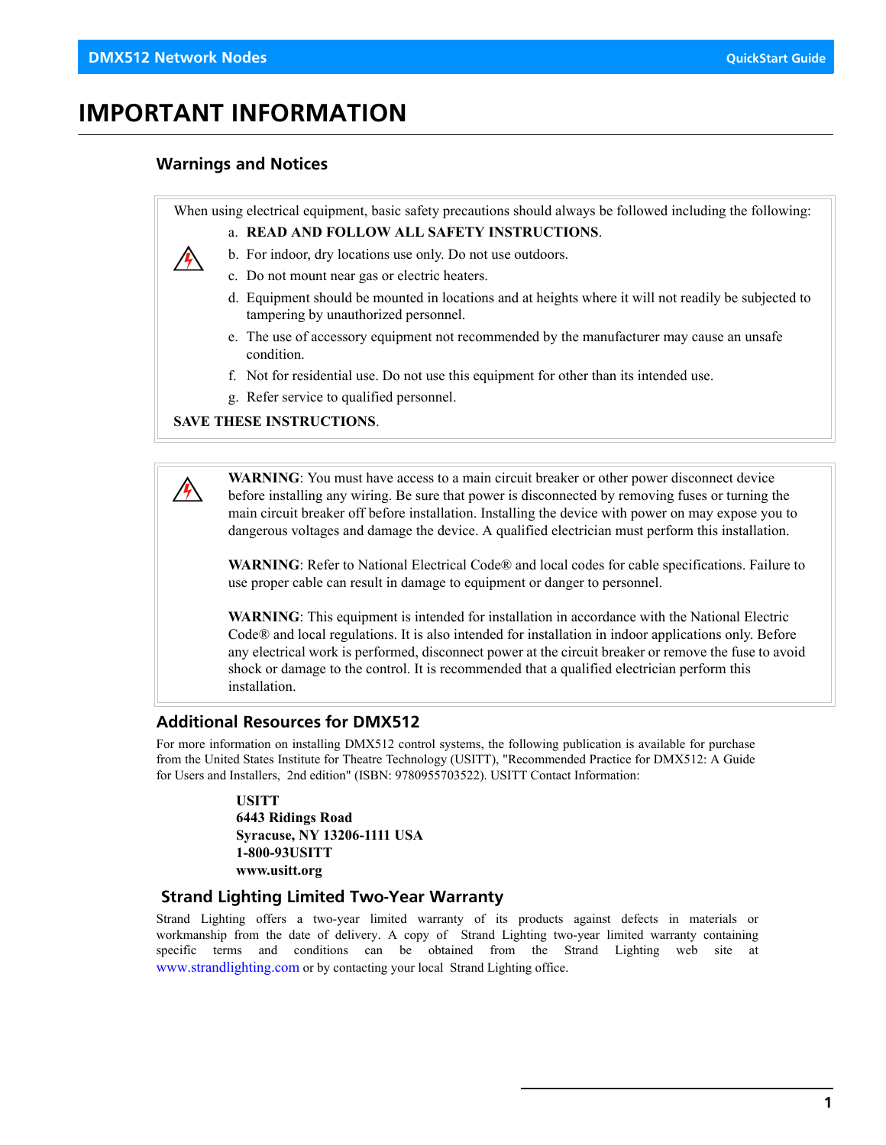/4

# <span id="page-2-0"></span>**IMPORTANT INFORMATION**

## <span id="page-2-1"></span>**Warnings and Notices**

When using electrical equipment, basic safety precautions should always be followed including the following:

a. **READ AND FOLLOW ALL SAFETY INSTRUCTIONS**.



- c. Do not mount near gas or electric heaters.
- d. Equipment should be mounted in locations and at heights where it will not readily be subjected to tampering by unauthorized personnel.
- e. The use of accessory equipment not recommended by the manufacturer may cause an unsafe condition.
- f. Not for residential use. Do not use this equipment for other than its intended use.
- g. Refer service to qualified personnel.

#### **SAVE THESE INSTRUCTIONS**.

**WARNING**: You must have access to a main circuit breaker or other power disconnect device before installing any wiring. Be sure that power is disconnected by removing fuses or turning the main circuit breaker off before installation. Installing the device with power on may expose you to dangerous voltages and damage the device. A qualified electrician must perform this installation.

**WARNING**: Refer to National Electrical Code® and local codes for cable specifications. Failure to use proper cable can result in damage to equipment or danger to personnel.

**WARNING**: This equipment is intended for installation in accordance with the National Electric Code® and local regulations. It is also intended for installation in indoor applications only. Before any electrical work is performed, disconnect power at the circuit breaker or remove the fuse to avoid shock or damage to the control. It is recommended that a qualified electrician perform this installation.

## <span id="page-2-2"></span>**Additional Resources for DMX512**

For more information on installing DMX512 control systems, the following publication is available for purchase from the United States Institute for Theatre Technology (USITT), "Recommended Practice for DMX512: A Guide for Users and Installers, 2nd edition" (ISBN: 9780955703522). USITT Contact Information:

> **USITT 6443 Ridings Road Syracuse, NY 13206-1111 USA 1-800-93USITT www.usitt.org**

## <span id="page-2-3"></span> **Strand Lighting Limited Two-Year Warranty**

Strand Lighting offers a two-year limited warranty of its products against defects in materials or workmanship from the date of delivery. A copy of Strand Lighting two-year limited warranty containing specific terms and conditions can be obtained from the Strand Lighting web site at [www.strandlighting.com](http://www.strandlighting.com) or by contacting your local Strand Lighting office.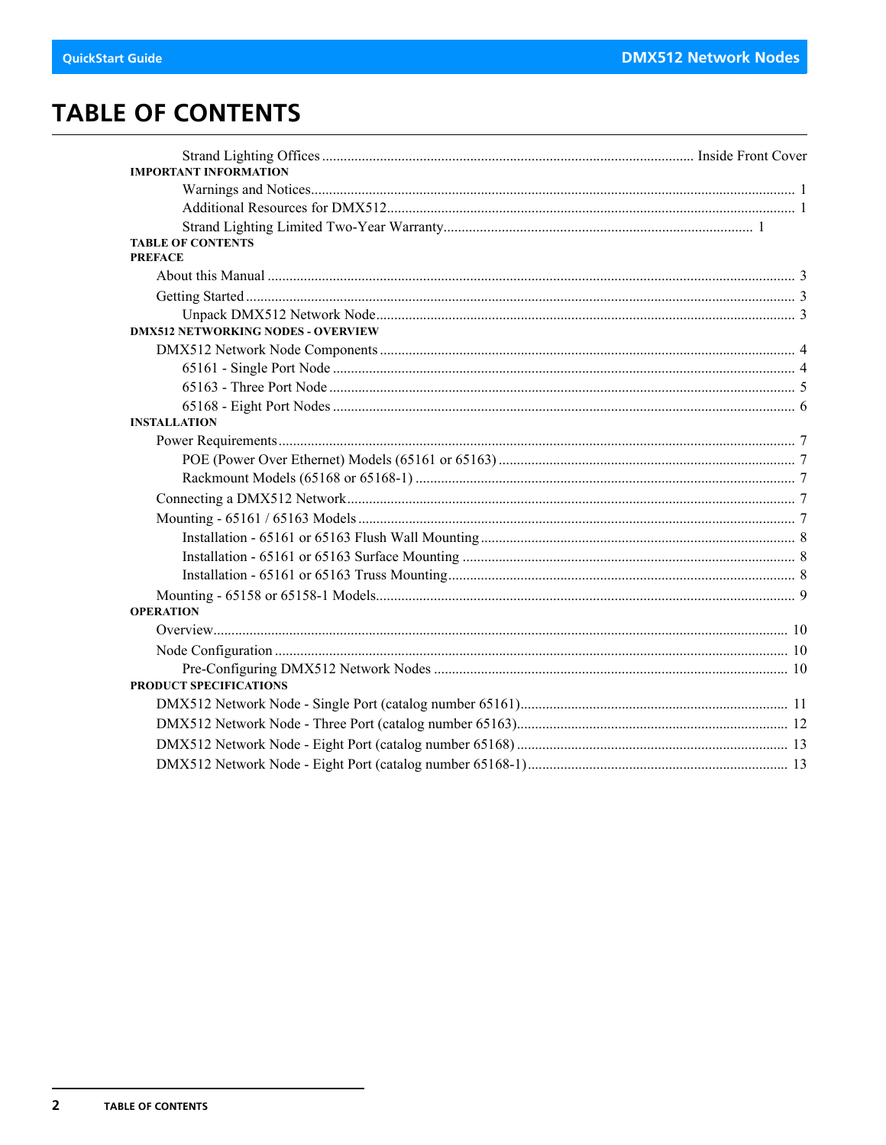# <span id="page-3-0"></span>**TABLE OF CONTENTS**

| <b>IMPORTANT INFORMATION</b>               |  |
|--------------------------------------------|--|
|                                            |  |
|                                            |  |
|                                            |  |
| <b>TABLE OF CONTENTS</b><br><b>PREFACE</b> |  |
|                                            |  |
|                                            |  |
|                                            |  |
| <b>DMX512 NETWORKING NODES - OVERVIEW</b>  |  |
|                                            |  |
|                                            |  |
|                                            |  |
|                                            |  |
| <b>INSTALLATION</b>                        |  |
|                                            |  |
|                                            |  |
|                                            |  |
|                                            |  |
|                                            |  |
|                                            |  |
|                                            |  |
|                                            |  |
| <b>OPERATION</b>                           |  |
|                                            |  |
|                                            |  |
|                                            |  |
| PRODUCT SPECIFICATIONS                     |  |
|                                            |  |
|                                            |  |
|                                            |  |
|                                            |  |
|                                            |  |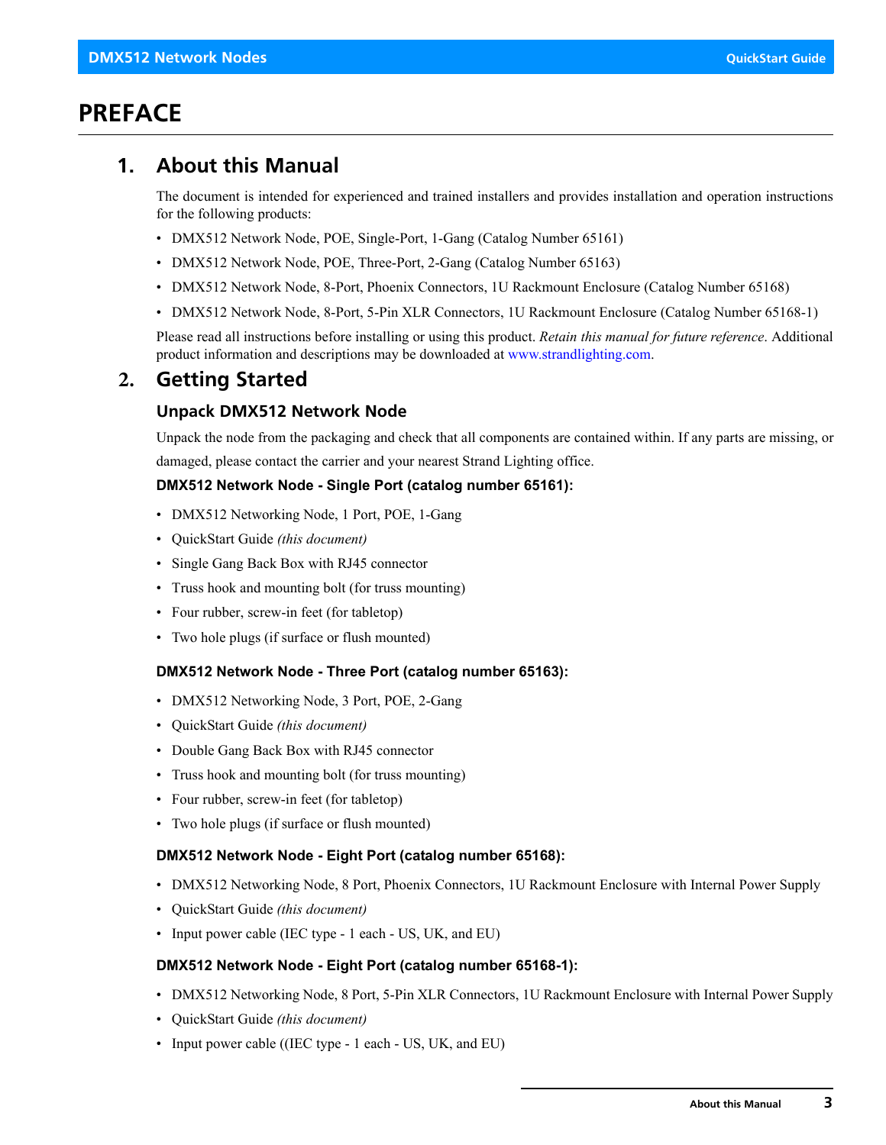# <span id="page-4-0"></span>**PREFACE**

## <span id="page-4-1"></span>**1. About this Manual**

The document is intended for experienced and trained installers and provides installation and operation instructions for the following products:

- DMX512 Network Node, POE, Single-Port, 1-Gang (Catalog Number 65161)
- DMX512 Network Node, POE, Three-Port, 2-Gang (Catalog Number 65163)
- DMX512 Network Node, 8-Port, Phoenix Connectors, 1U Rackmount Enclosure (Catalog Number 65168)
- DMX512 Network Node, 8-Port, 5-Pin XLR Connectors, 1U Rackmount Enclosure (Catalog Number 65168-1)

Please read all instructions before installing or using this product. *Retain this manual for future reference*. Additional product information and descriptions may be downloaded at [www.strandlighting.com.](http://www.strandlighting.com)

## <span id="page-4-2"></span>**2. Getting Started**

## <span id="page-4-3"></span>**Unpack DMX512 Network Node**

Unpack the node from the packaging and check that all components are contained within. If any parts are missing, or damaged, please contact the carrier and your nearest Strand Lighting office.

## **DMX512 Network Node - Single Port (catalog number 65161):**

- DMX512 Networking Node, 1 Port, POE, 1-Gang
- QuickStart Guide *(this document)*
- Single Gang Back Box with RJ45 connector
- Truss hook and mounting bolt (for truss mounting)
- Four rubber, screw-in feet (for tabletop)
- Two hole plugs (if surface or flush mounted)

## **DMX512 Network Node - Three Port (catalog number 65163):**

- DMX512 Networking Node, 3 Port, POE, 2-Gang
- QuickStart Guide *(this document)*
- Double Gang Back Box with RJ45 connector
- Truss hook and mounting bolt (for truss mounting)
- Four rubber, screw-in feet (for tabletop)
- Two hole plugs (if surface or flush mounted)

## **DMX512 Network Node - Eight Port (catalog number 65168):**

- DMX512 Networking Node, 8 Port, Phoenix Connectors, 1U Rackmount Enclosure with Internal Power Supply
- QuickStart Guide *(this document)*
- Input power cable (IEC type 1 each US, UK, and EU)

#### **DMX512 Network Node - Eight Port (catalog number 65168-1):**

- DMX512 Networking Node, 8 Port, 5-Pin XLR Connectors, 1U Rackmount Enclosure with Internal Power Supply
- QuickStart Guide *(this document)*
- Input power cable ((IEC type 1 each US, UK, and EU)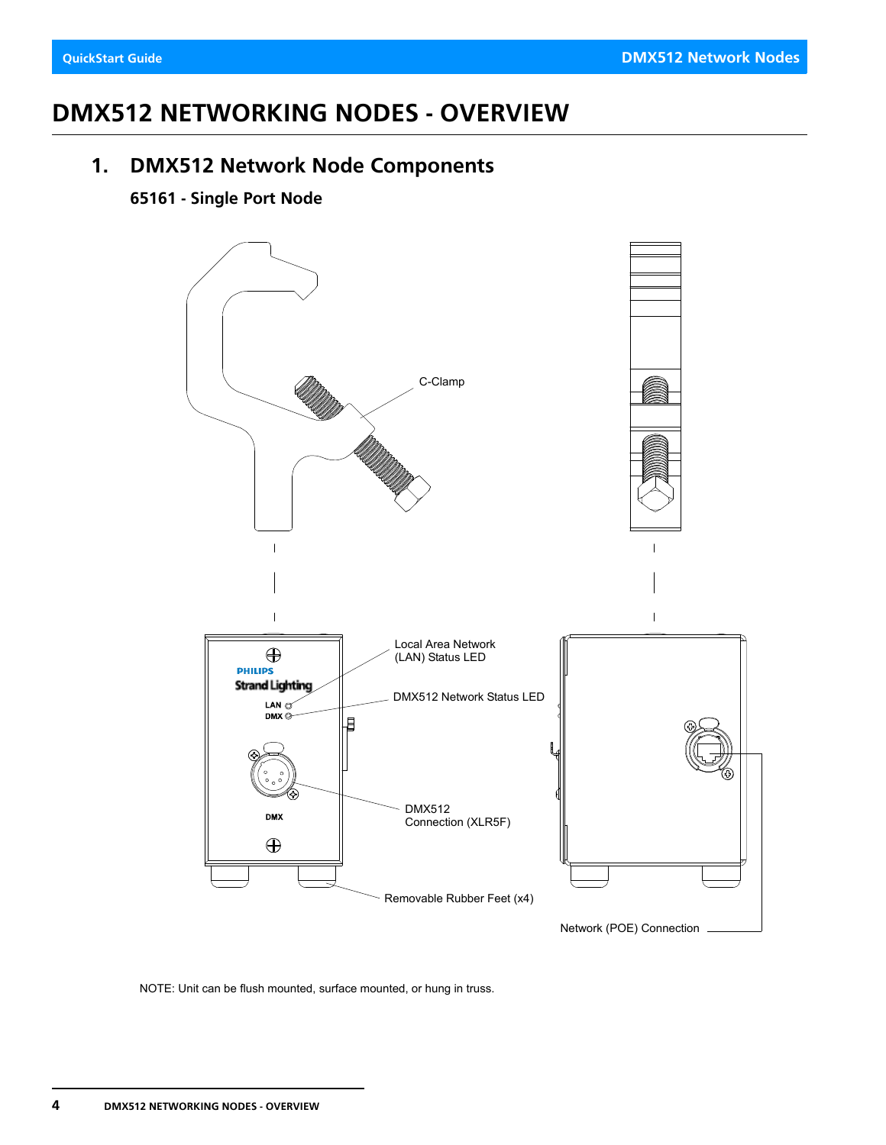# <span id="page-5-0"></span>**DMX512 NETWORKING NODES - OVERVIEW**

## <span id="page-5-1"></span>**1. DMX512 Network Node Components**

## <span id="page-5-2"></span>**65161 - Single Port Node**



NOTE: Unit can be flush mounted, surface mounted, or hung in truss.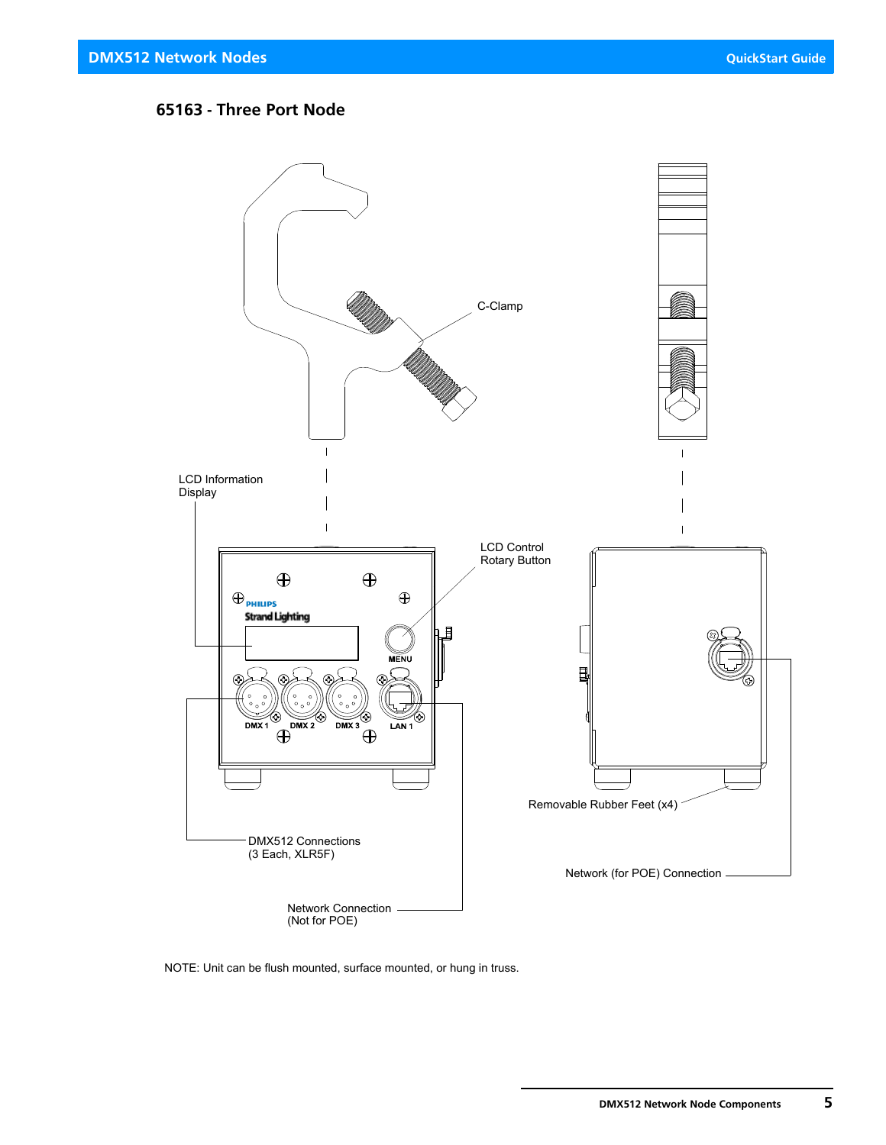## <span id="page-6-0"></span>**65163 - Three Port Node**



NOTE: Unit can be flush mounted, surface mounted, or hung in truss.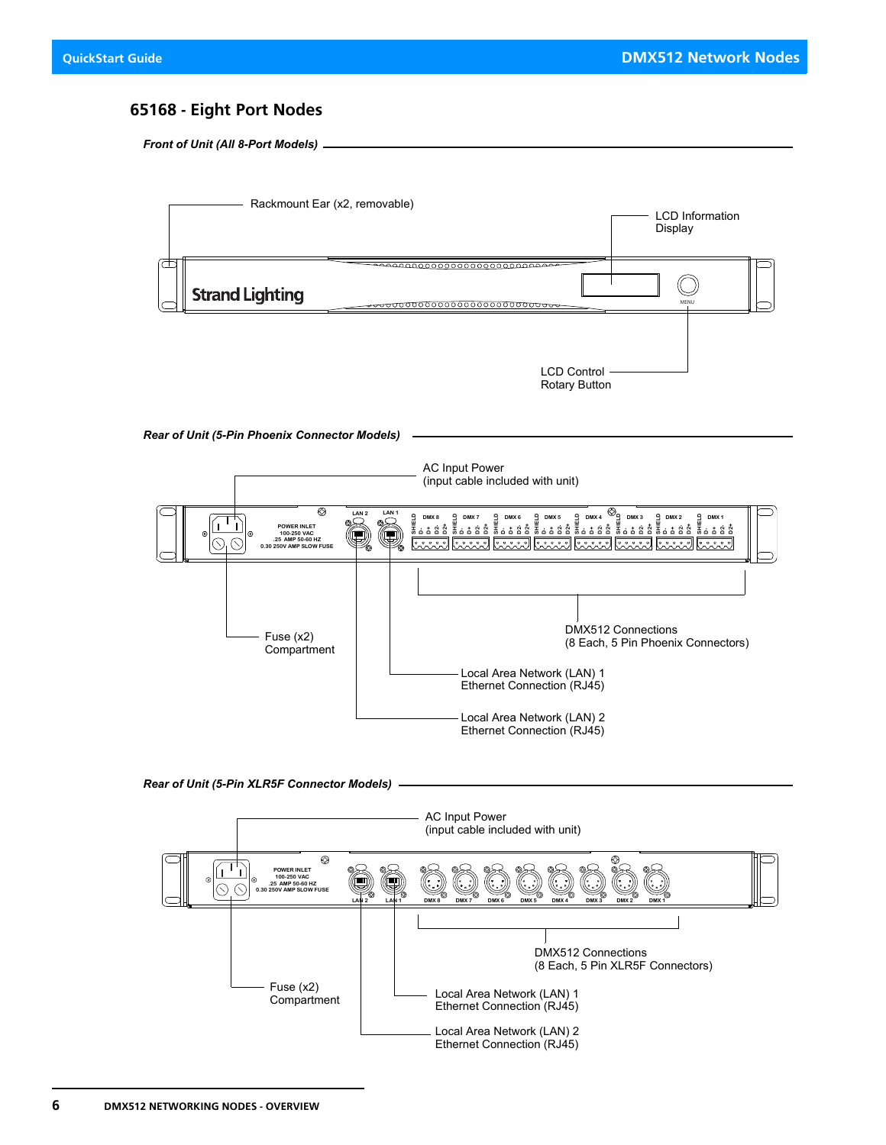## <span id="page-7-0"></span>**65168 - Eight Port Nodes**

*Front of Unit (All 8-Port Models)*



*Rear of Unit (5-Pin Phoenix Connector Models)*



#### *Rear of Unit (5-Pin XLR5F Connector Models)*

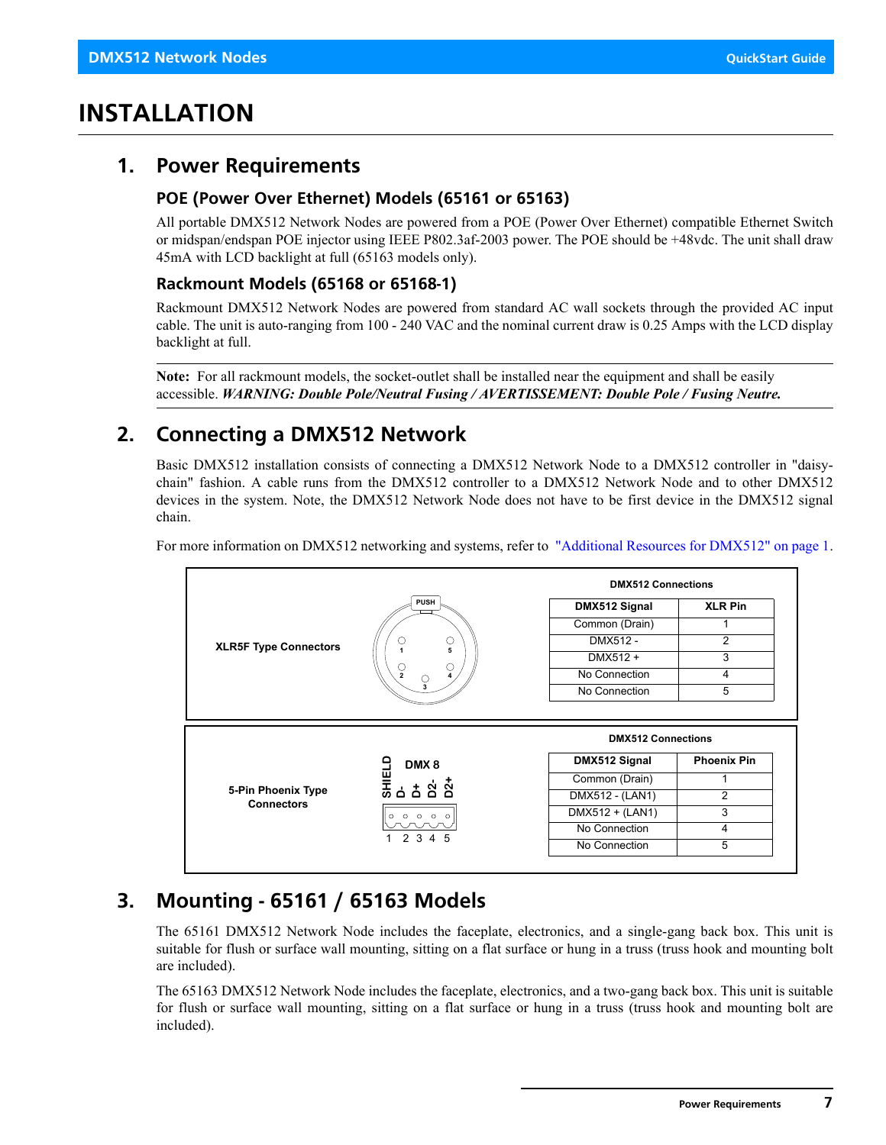# <span id="page-8-0"></span>**INSTALLATION**

## <span id="page-8-1"></span>**1. Power Requirements**

## <span id="page-8-2"></span>**POE (Power Over Ethernet) Models (65161 or 65163)**

All portable DMX512 Network Nodes are powered from a POE (Power Over Ethernet) compatible Ethernet Switch or midspan/endspan POE injector using IEEE P802.3af-2003 power. The POE should be +48vdc. The unit shall draw 45mA with LCD backlight at full (65163 models only).

## <span id="page-8-3"></span>**Rackmount Models (65168 or 65168-1)**

Rackmount DMX512 Network Nodes are powered from standard AC wall sockets through the provided AC input cable. The unit is auto-ranging from 100 - 240 VAC and the nominal current draw is 0.25 Amps with the LCD display backlight at full.

**Note:** For all rackmount models, the socket-outlet shall be installed near the equipment and shall be easily accessible. *WARNING: Double Pole/Neutral Fusing / AVERTISSEMENT: Double Pole / Fusing Neutre.*

## <span id="page-8-4"></span>**2. Connecting a DMX512 Network**

Basic DMX512 installation consists of connecting a DMX512 Network Node to a DMX512 controller in "daisychain" fashion. A cable runs from the DMX512 controller to a DMX512 Network Node and to other DMX512 devices in the system. Note, the DMX512 Network Node does not have to be first device in the DMX512 signal chain.



For more information on DMX512 networking and systems, refer to ["Additional Resources for DMX512" on page 1.](#page-2-2)

## <span id="page-8-5"></span>**3. Mounting - 65161 / 65163 Models**

The 65161 DMX512 Network Node includes the faceplate, electronics, and a single-gang back box. This unit is suitable for flush or surface wall mounting, sitting on a flat surface or hung in a truss (truss hook and mounting bolt are included).

The 65163 DMX512 Network Node includes the faceplate, electronics, and a two-gang back box. This unit is suitable for flush or surface wall mounting, sitting on a flat surface or hung in a truss (truss hook and mounting bolt are included).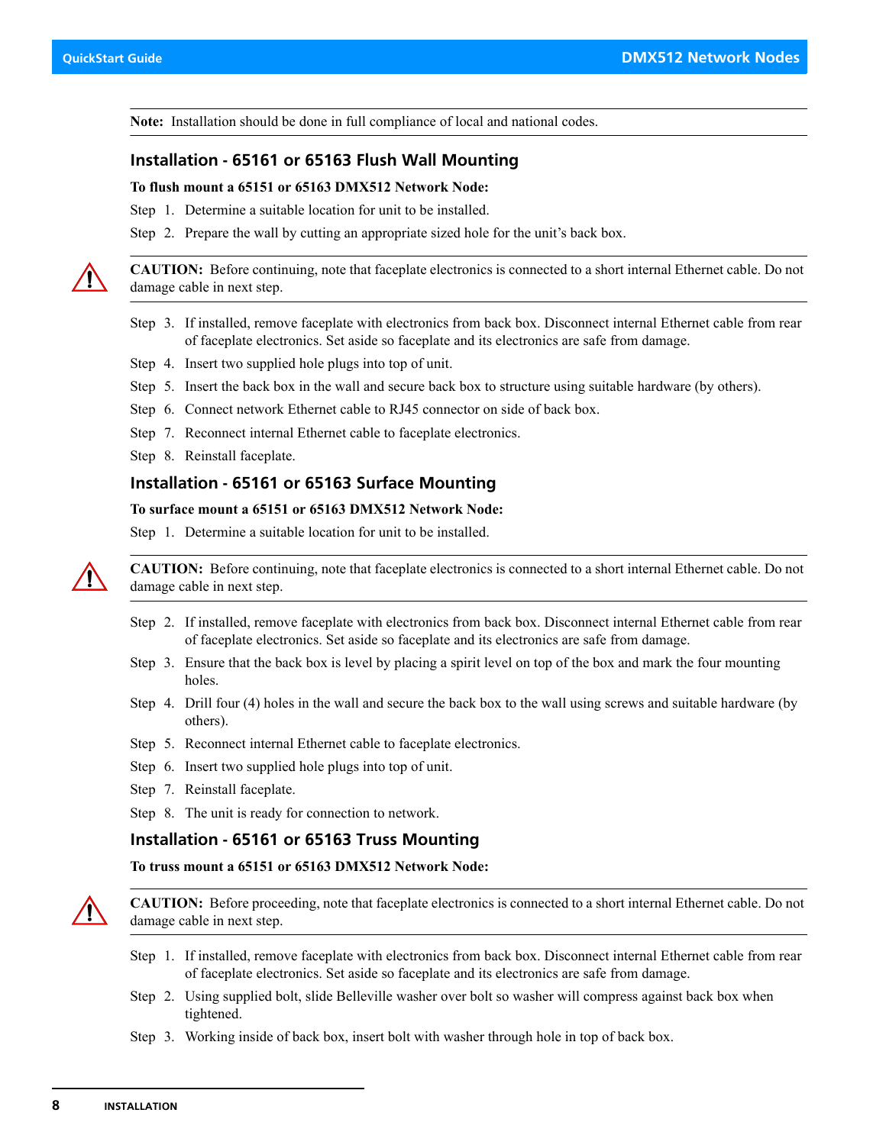**Note:** Installation should be done in full compliance of local and national codes.

### <span id="page-9-0"></span>**Installation - 65161 or 65163 Flush Wall Mounting**

#### **To flush mount a 65151 or 65163 DMX512 Network Node:**

Step 1. Determine a suitable location for unit to be installed.

Step 2. Prepare the wall by cutting an appropriate sized hole for the unit's back box.

**CAUTION:** Before continuing, note that faceplate electronics is connected to a short internal Ethernet cable. Do not damage cable in next step.

- Step 3. If installed, remove faceplate with electronics from back box. Disconnect internal Ethernet cable from rear of faceplate electronics. Set aside so faceplate and its electronics are safe from damage.
- Step 4. Insert two supplied hole plugs into top of unit.
- Step 5. Insert the back box in the wall and secure back box to structure using suitable hardware (by others).
- Step 6. Connect network Ethernet cable to RJ45 connector on side of back box.
- Step 7. Reconnect internal Ethernet cable to faceplate electronics.
- Step 8. Reinstall faceplate.

#### <span id="page-9-1"></span>**Installation - 65161 or 65163 Surface Mounting**

#### **To surface mount a 65151 or 65163 DMX512 Network Node:**

Step 1. Determine a suitable location for unit to be installed.



**CAUTION:** Before continuing, note that faceplate electronics is connected to a short internal Ethernet cable. Do not damage cable in next step.

- Step 2. If installed, remove faceplate with electronics from back box. Disconnect internal Ethernet cable from rear of faceplate electronics. Set aside so faceplate and its electronics are safe from damage.
- Step 3. Ensure that the back box is level by placing a spirit level on top of the box and mark the four mounting holes.
- Step 4. Drill four (4) holes in the wall and secure the back box to the wall using screws and suitable hardware (by others).
- Step 5. Reconnect internal Ethernet cable to faceplate electronics.
- Step 6. Insert two supplied hole plugs into top of unit.
- Step 7. Reinstall faceplate.

Step 8. The unit is ready for connection to network.

#### <span id="page-9-2"></span>**Installation - 65161 or 65163 Truss Mounting**

**To truss mount a 65151 or 65163 DMX512 Network Node:**



**CAUTION:** Before proceeding, note that faceplate electronics is connected to a short internal Ethernet cable. Do not damage cable in next step.

- Step 1. If installed, remove faceplate with electronics from back box. Disconnect internal Ethernet cable from rear of faceplate electronics. Set aside so faceplate and its electronics are safe from damage.
- Step 2. Using supplied bolt, slide Belleville washer over bolt so washer will compress against back box when tightened.
- Step 3. Working inside of back box, insert bolt with washer through hole in top of back box.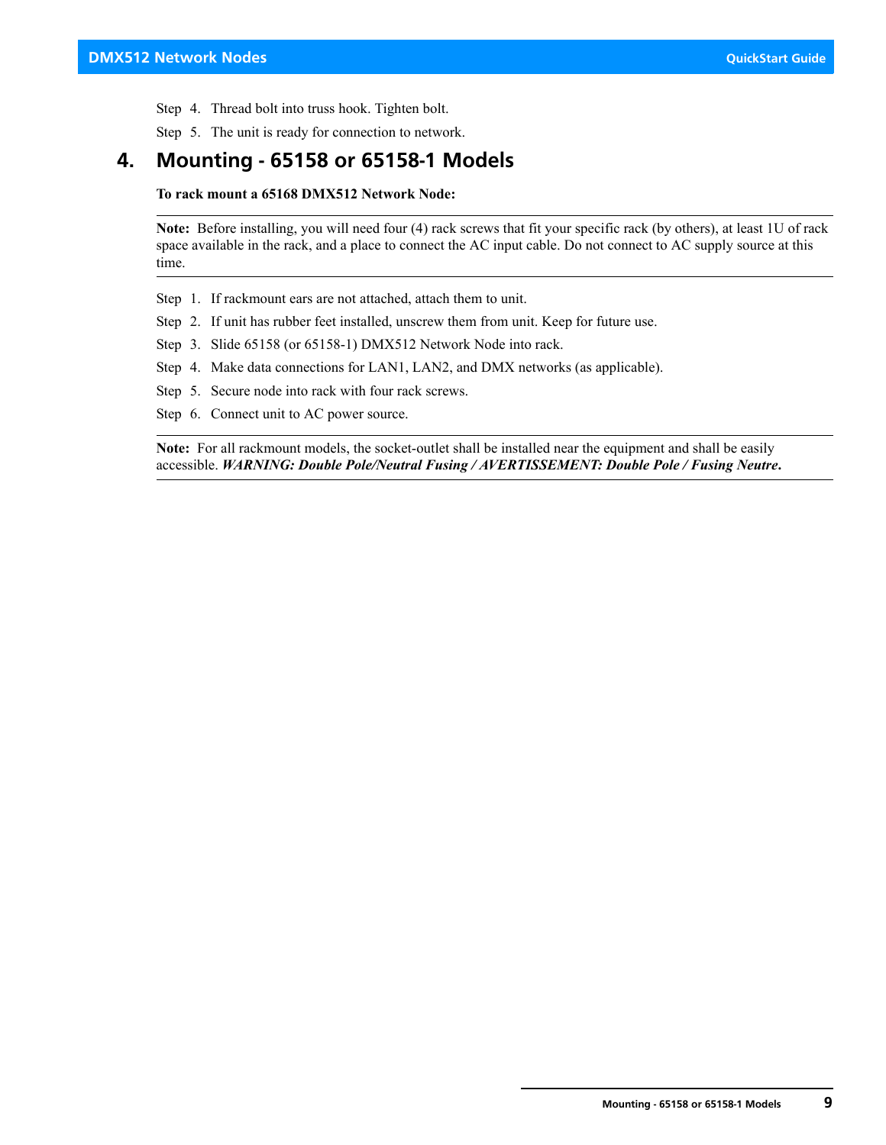Step 4. Thread bolt into truss hook. Tighten bolt.

Step 5. The unit is ready for connection to network.

## <span id="page-10-0"></span>**4. Mounting - 65158 or 65158-1 Models**

**To rack mount a 65168 DMX512 Network Node:**

**Note:** Before installing, you will need four (4) rack screws that fit your specific rack (by others), at least 1U of rack space available in the rack, and a place to connect the AC input cable. Do not connect to AC supply source at this time.

- Step 1. If rackmount ears are not attached, attach them to unit.
- Step 2. If unit has rubber feet installed, unscrew them from unit. Keep for future use.
- Step 3. Slide 65158 (or 65158-1) DMX512 Network Node into rack.
- Step 4. Make data connections for LAN1, LAN2, and DMX networks (as applicable).
- Step 5. Secure node into rack with four rack screws.
- Step 6. Connect unit to AC power source.

**Note:** For all rackmount models, the socket-outlet shall be installed near the equipment and shall be easily accessible. *WARNING: Double Pole/Neutral Fusing / AVERTISSEMENT: Double Pole / Fusing Neutre***.**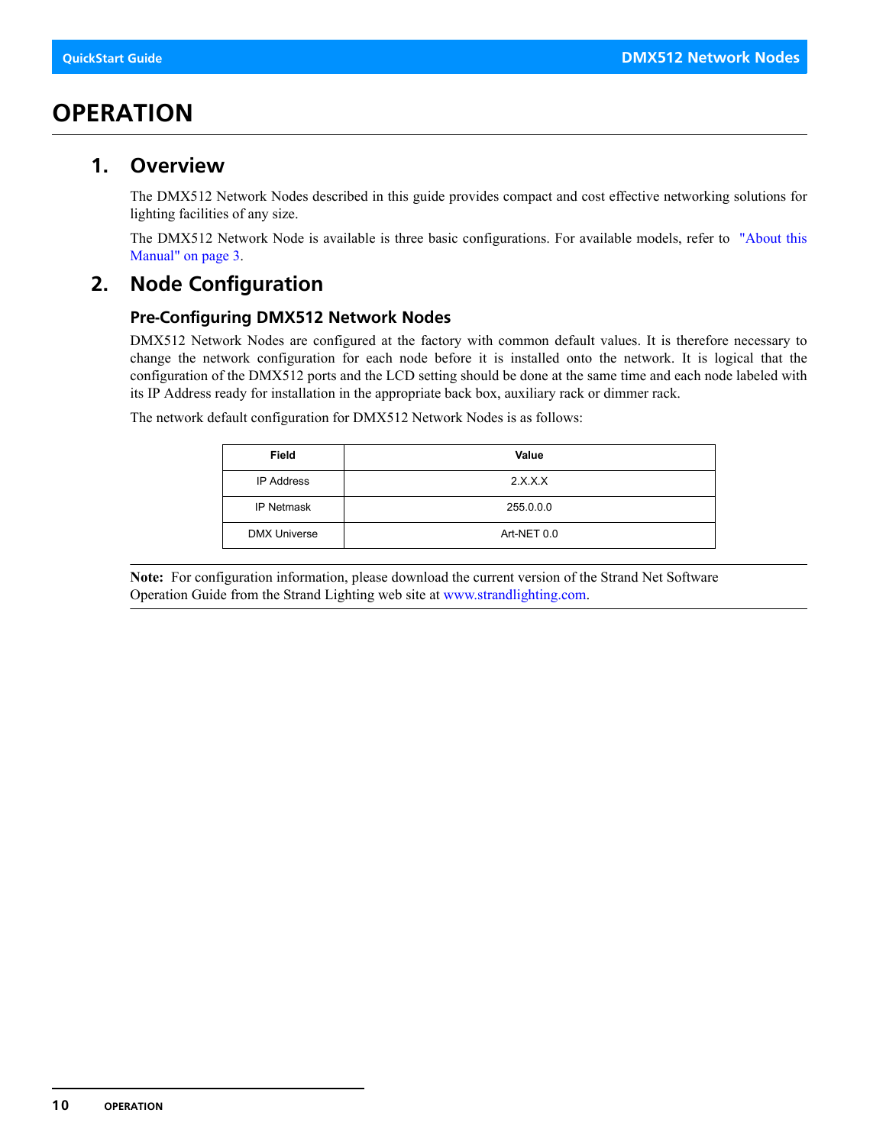# <span id="page-11-0"></span>**OPERATION**

## <span id="page-11-1"></span>**1. Overview**

The DMX512 Network Nodes described in this guide provides compact and cost effective networking solutions for lighting facilities of any size.

The DMX512 Network Node is available is three basic configurations. For available models, refer to ["About this](#page-4-1) [Manual" on page 3.](#page-4-1)

# <span id="page-11-2"></span>**2. Node Configuration**

## <span id="page-11-3"></span>**Pre-Configuring DMX512 Network Nodes**

DMX512 Network Nodes are configured at the factory with common default values. It is therefore necessary to change the network configuration for each node before it is installed onto the network. It is logical that the configuration of the DMX512 ports and the LCD setting should be done at the same time and each node labeled with its IP Address ready for installation in the appropriate back box, auxiliary rack or dimmer rack.

The network default configuration for DMX512 Network Nodes is as follows:

| Field               | Value       |
|---------------------|-------------|
| <b>IP Address</b>   | 2.X.X.X     |
| <b>IP Netmask</b>   | 255.0.0.0   |
| <b>DMX Universe</b> | Art-NET 0.0 |

**Note:** For configuration information, please download the current version of the Strand Net Software Operation Guide from the Strand Lighting web site at [www.strandlighting.com](http://www.strandlighting.com).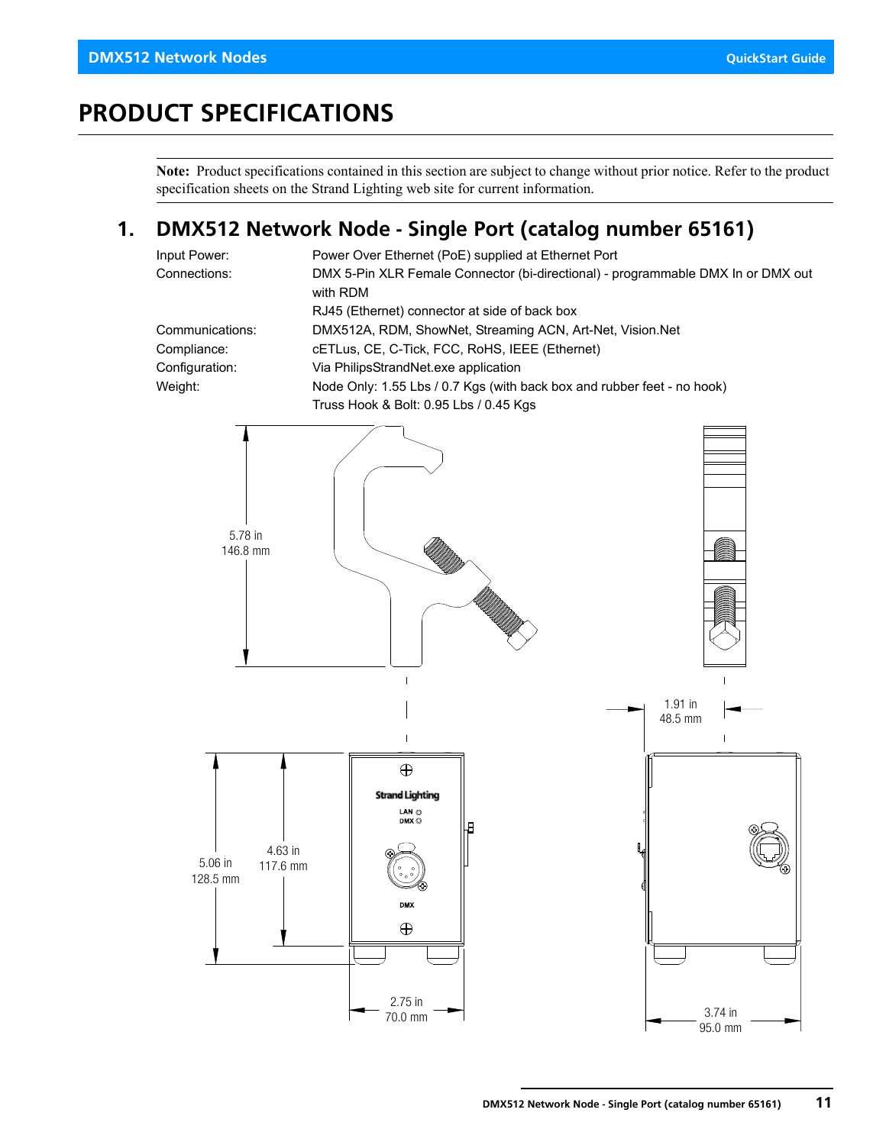# <span id="page-12-0"></span>**PRODUCT SPECIFICATIONS**

**Note:** Product specifications contained in this section are subject to change without prior notice. Refer to the product specification sheets on the Strand Lighting web site for current information.

## <span id="page-12-1"></span>**1. DMX512 Network Node - Single Port (catalog number 65161)**

| Input Power:    | Power Over Ethernet (PoE) supplied at Ethernet Port                              |
|-----------------|----------------------------------------------------------------------------------|
| Connections:    | DMX 5-Pin XLR Female Connector (bi-directional) - programmable DMX In or DMX out |
|                 | with RDM                                                                         |
|                 | RJ45 (Ethernet) connector at side of back box                                    |
| Communications: | DMX512A, RDM, ShowNet, Streaming ACN, Art-Net, Vision.Net                        |
| Compliance:     | cETLus, CE, C-Tick, FCC, RoHS, IEEE (Ethernet)                                   |
| Configuration:  | Via PhilipsStrandNet.exe application                                             |
| Weight:         | Node Only: 1.55 Lbs / 0.7 Kgs (with back box and rubber feet - no hook)          |
|                 | Truss Hook & Bolt: 0.95 Lbs / 0.45 Kgs                                           |

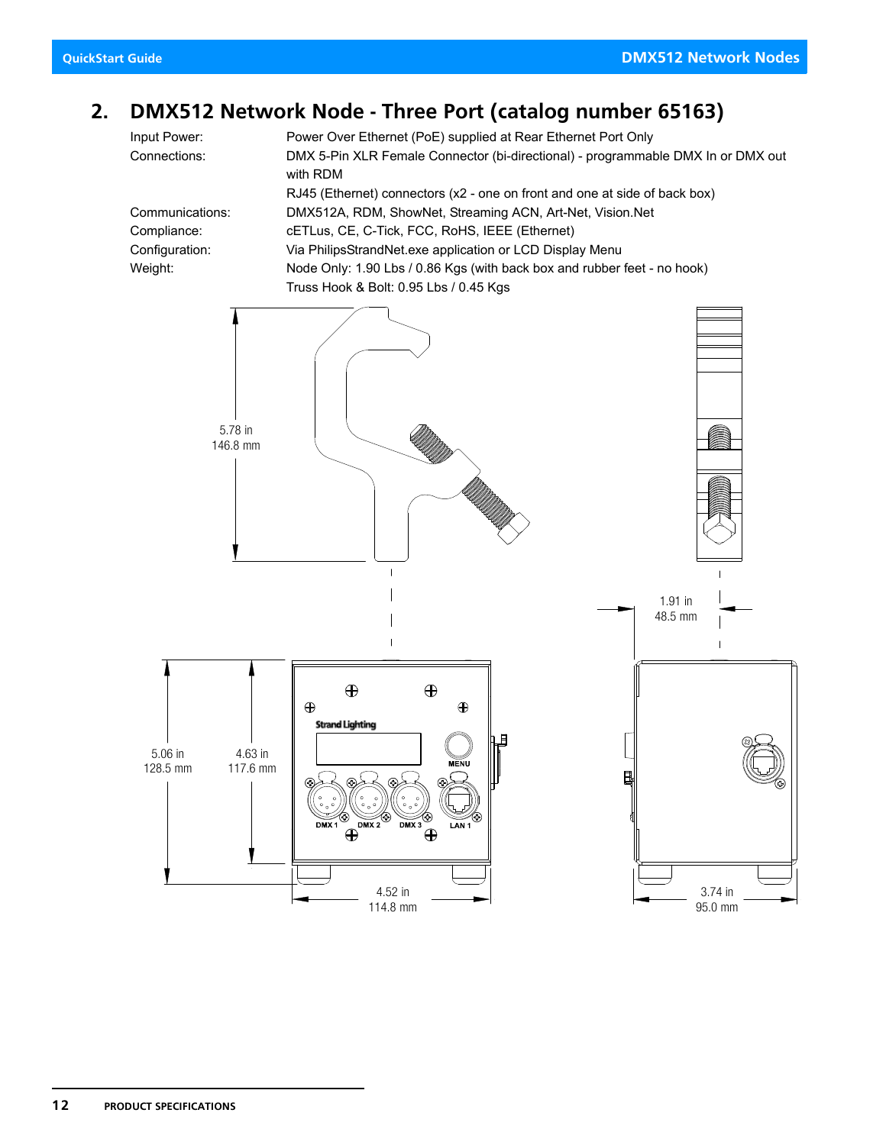## <span id="page-13-0"></span>**2. DMX512 Network Node - Three Port (catalog number 65163)**

Input Power: Power Over Ethernet (PoE) supplied at Rear Ethernet Port Only Connections: DMX 5-Pin XLR Female Connector (bi-directional) - programmable DMX In or DMX out with RDM RJ45 (Ethernet) connectors (x2 - one on front and one at side of back box) Communications: DMX512A, RDM, ShowNet, Streaming ACN, Art-Net, Vision.Net Compliance: cETLus, CE, C-Tick, FCC, RoHS, IEEE (Ethernet) Configuration: Via PhilipsStrandNet.exe application or LCD Display Menu Weight: Node Only: 1.90 Lbs / 0.86 Kgs (with back box and rubber feet - no hook) Truss Hook & Bolt: 0.95 Lbs / 0.45 Kgs

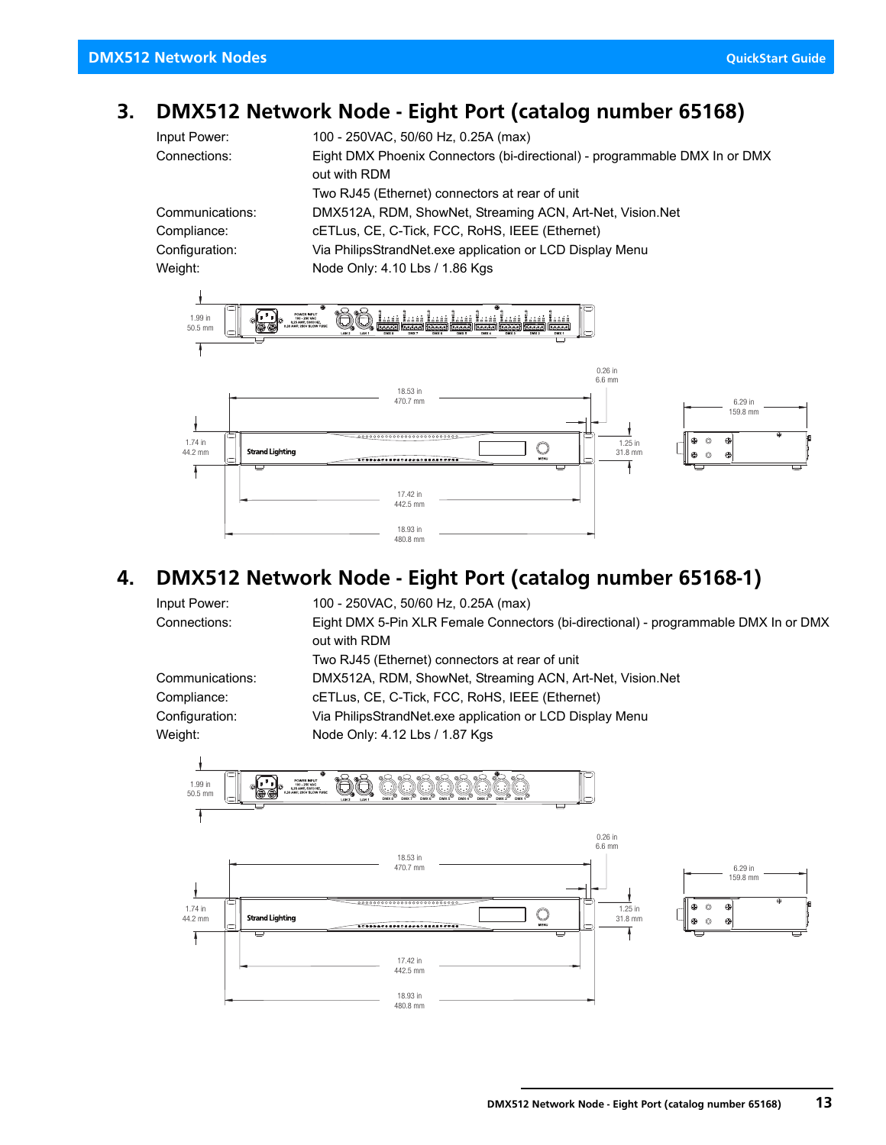# <span id="page-14-0"></span>**3. DMX512 Network Node - Eight Port (catalog number 65168)**

| Input Power:    | 100 - 250VAC, 50/60 Hz, 0.25A (max)                                        |
|-----------------|----------------------------------------------------------------------------|
| Connections:    | Eight DMX Phoenix Connectors (bi-directional) - programmable DMX In or DMX |
|                 | out with RDM                                                               |
|                 | Two RJ45 (Ethernet) connectors at rear of unit                             |
| Communications: | DMX512A, RDM, ShowNet, Streaming ACN, Art-Net, Vision.Net                  |
| Compliance:     | cETLus, CE, C-Tick, FCC, RoHS, IEEE (Ethernet)                             |
| Configuration:  | Via PhilipsStrandNet.exe application or LCD Display Menu                   |
| Weight:         | Node Only: 4.10 Lbs / 1.86 Kgs                                             |



# <span id="page-14-1"></span>**4. DMX512 Network Node - Eight Port (catalog number 65168-1)**

| Input Power:    | 100 - 250VAC, 50/60 Hz, 0.25A (max)                                                 |
|-----------------|-------------------------------------------------------------------------------------|
| Connections:    | Eight DMX 5-Pin XLR Female Connectors (bi-directional) - programmable DMX In or DMX |
|                 | out with RDM                                                                        |
|                 | Two RJ45 (Ethernet) connectors at rear of unit                                      |
| Communications: | DMX512A, RDM, ShowNet, Streaming ACN, Art-Net, Vision.Net                           |
| Compliance:     | cETLus, CE, C-Tick, FCC, RoHS, IEEE (Ethernet)                                      |
| Configuration:  | Via PhilipsStrandNet.exe application or LCD Display Menu                            |
| Weight:         | Node Only: 4.12 Lbs / 1.87 Kgs                                                      |